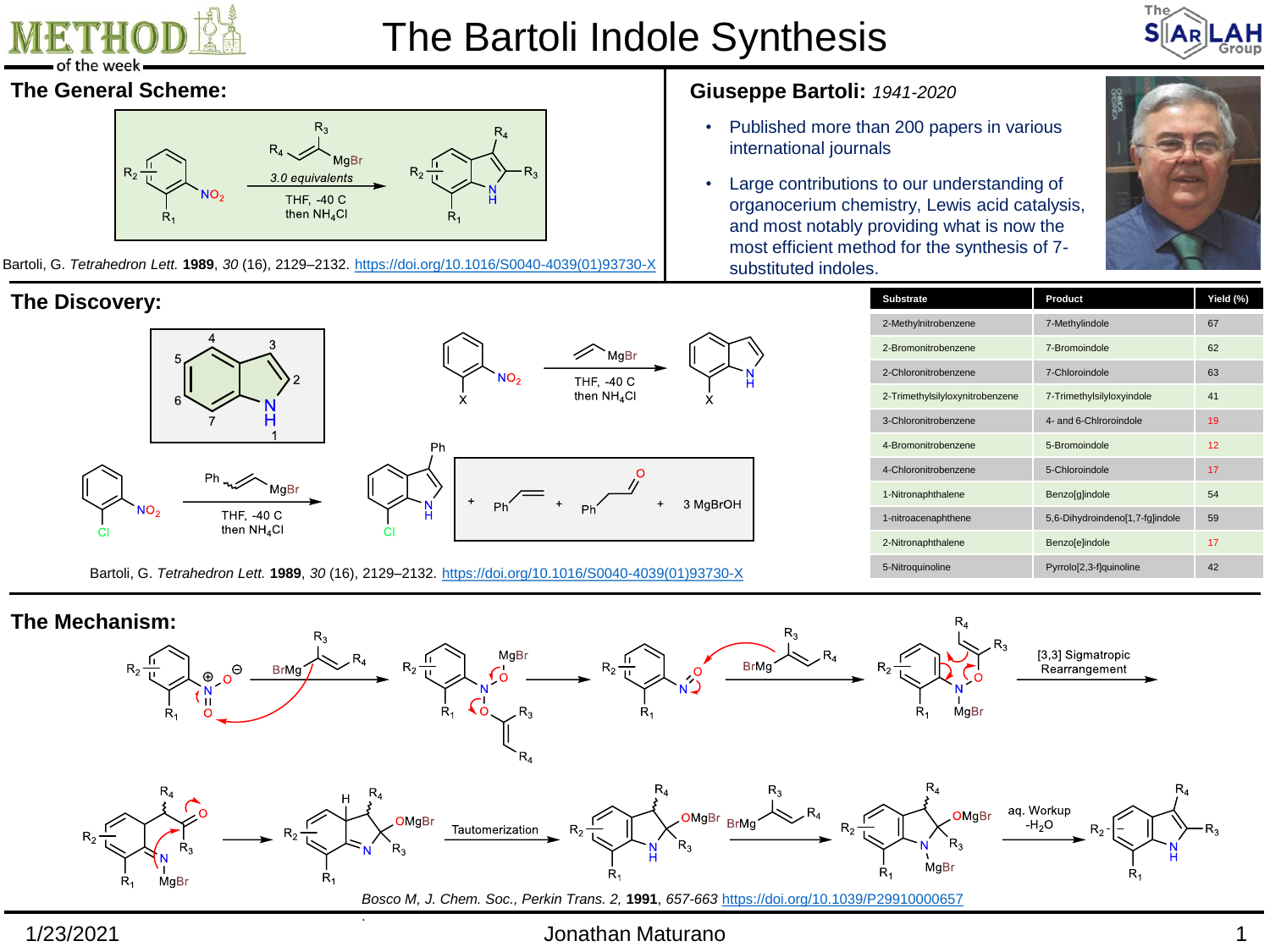

# The Bartoli Indole Synthesis



### **The General Scheme:**



Bartoli, G. *Tetrahedron Lett.* **1989**, *30* (16), 2129–2132. [https://doi.org/10.1016/S0040-4039\(01\)93730-X](https://doi.org/10.1016/S0040-4039(01)93730-X)

### **The Discovery:**



Bartoli, G. *Tetrahedron Lett.* **1989**, *30* (16), 2129–2132. [https://doi.org/10.1016/S0040-4039\(01\)93730-X](https://doi.org/10.1016/S0040-4039(01)93730-X)

### **Giuseppe Bartoli:** *1941-2020*

- Published more than 200 papers in various international journals
- Large contributions to our understanding of organocerium chemistry, Lewis acid catalysis, and most notably providing what is now the most efficient method for the synthesis of 7 substituted indoles.



| <b>Substrate</b>                | Product                         | Yield (%) |
|---------------------------------|---------------------------------|-----------|
| 2-Methylnitrobenzene            | 7-Methylindole                  | 67        |
| 2-Bromonitrobenzene             | 7-Bromoindole                   | 62        |
| 2-Chloronitrobenzene            | 7-Chloroindole                  | 63        |
| 2-Trimethylsilyloxynitrobenzene | 7-Trimethylsilyloxyindole       | 41        |
| 3-Chloronitrobenzene            | 4- and 6-Chiroroindole          | 19        |
| 4-Bromonitrobenzene             | 5-Bromoindole                   | 12        |
| 4-Chloronitrobenzene            | 5-Chloroindole                  | 17        |
| 1-Nitronaphthalene              | Benzo[g]indole                  | 54        |
| 1-nitroacenaphthene             | 5,6-Dihydroindeno[1,7-fq]indole | 59        |
| 2-Nitronaphthalene              | <b>Benzo</b> [e]indole          | 17        |
| 5-Nitroquinoline                | Pyrrolo[2,3-f]quinoline         | 42        |



# 1/23/2021 Jonathan Maturano 1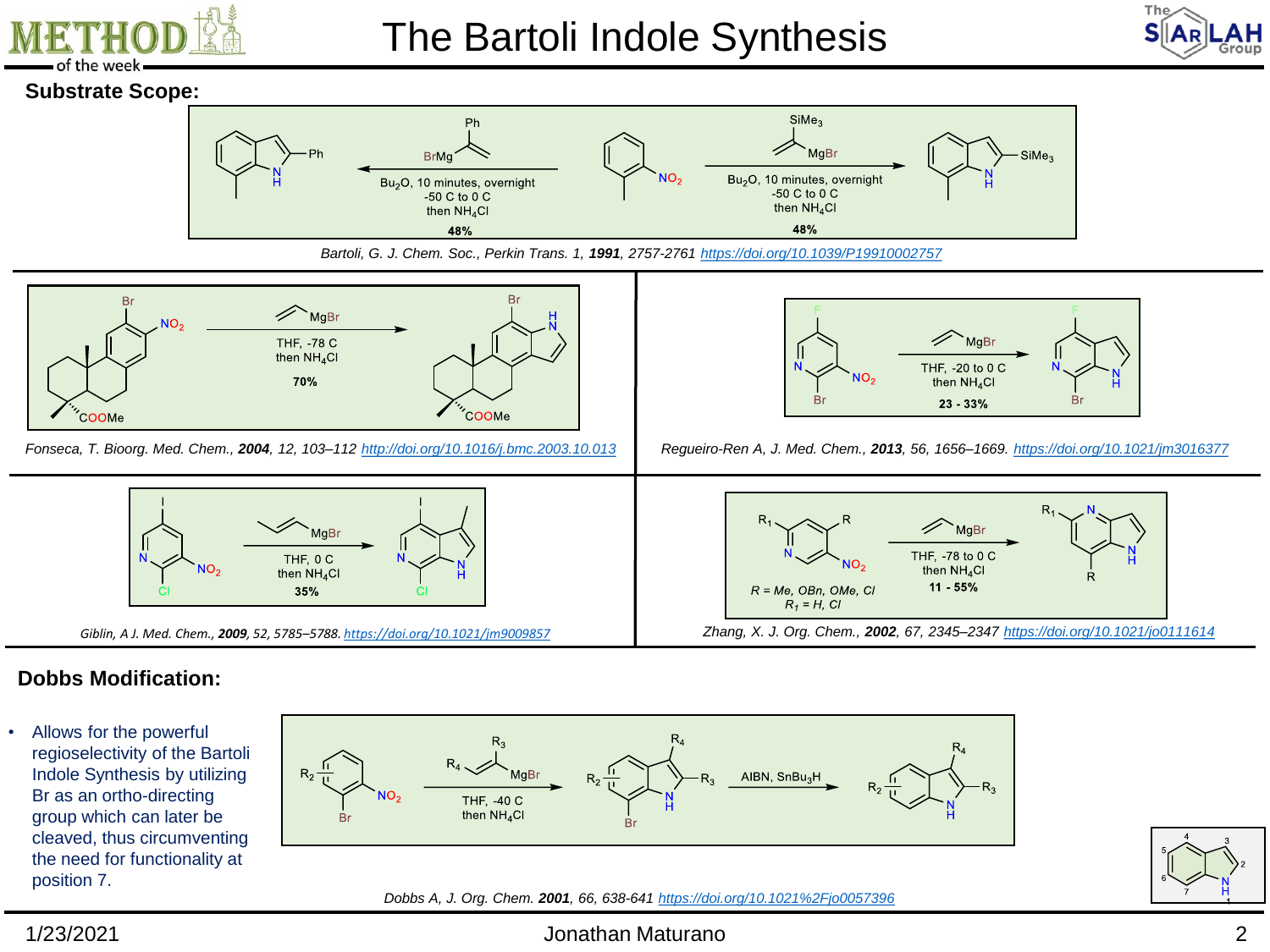

# The Bartoli Indole Synthesis



### **Substrate Scope:**







Fonseca, T. Bioorg. Med. Chem., 2004, 12, 103-112 <http://doi.org/10.1016/j.bmc.2003.10.013> Requeiro-Ren A, J. Med. Chem., 2013, 56, 1656-1669. <https://doi.org/10.1021/jm3016377>



THF, -78 to 0 C

then  $NH_4Cl$ 

11 - 55%



# **Dobbs Modification:**

• Allows for the powerful regioselectivity of the Bartoli Indole Synthesis by utilizing Br as an ortho-directing group which can later be cleaved, thus circumventing the need for functionality at position 7.





### 1/23/2021 Jonathan Maturano 2